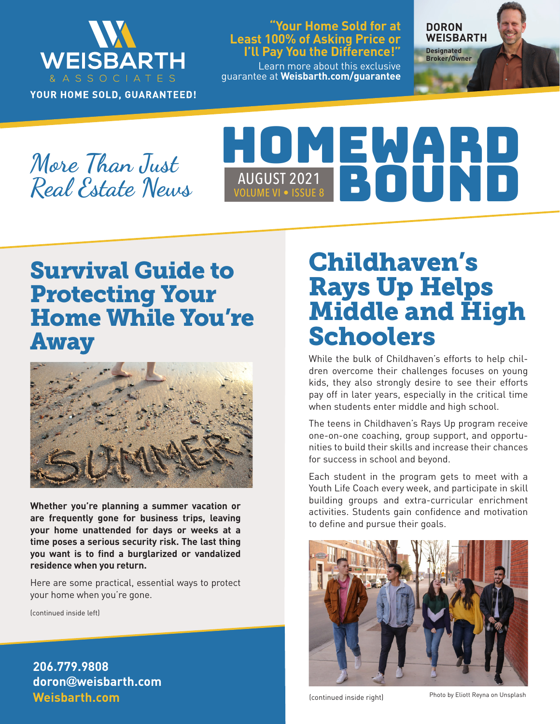

YOUR HOME SOLD, GUARANTEED!

### **"Your Home Sold for at Least 100% of Asking Price or I'll Pay You the Difference!"**

Learn more about this exclusive guarantee at **Weisbarth.com/guarantee** **DORON WEISBARTH Designated** 

**Broker/Owner**

**More Than Just Real Estate News**

# HOMEWARD VOLUME VI • ISSUE 8 AUGUST 2021 BOUNDANNE VI .

# Survival Guide to Protecting Your Home While You're Away



**Whether you're planning a summer vacation or are frequently gone for business trips, leaving your home unattended for days or weeks at a time poses a serious security risk. The last thing you want is to find a burglarized or vandalized residence when you return.**

Here are some practical, essential ways to protect your home when you're gone.

(continued inside left)

**Weisbarth.com 206.779.9808 doron@weisbarth.com**

# Childhaven's Rays Up Helps Middle and High **Schoolers**

While the bulk of Childhaven's efforts to help children overcome their challenges focuses on young kids, they also strongly desire to see their efforts pay off in later years, especially in the critical time when students enter middle and high school.

The teens in Childhaven's Rays Up program receive one-on-one coaching, group support, and opportunities to build their skills and increase their chances for success in school and beyond.

Each student in the program gets to meet with a Youth Life Coach every week, and participate in skill building groups and extra-curricular enrichment activities. Students gain confidence and motivation to define and pursue their goals.



(continued inside right)

Photo by Eliott Reyna on Unsplash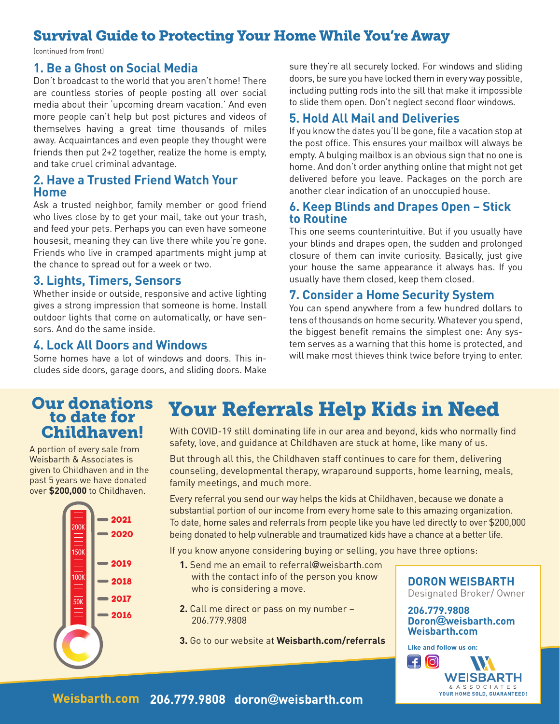### Survival Guide to Protecting Your Home While You're Away

(continued from front)

### **1. Be a Ghost on Social Media**

Don't broadcast to the world that you aren't home! There are countless stories of people posting all over social media about their 'upcoming dream vacation.' And even more people can't help but post pictures and videos of themselves having a great time thousands of miles away. Acquaintances and even people they thought were friends then put 2+2 together, realize the home is empty, and take cruel criminal advantage.

### **2. Have a Trusted Friend Watch Your Home**

Ask a trusted neighbor, family member or good friend who lives close by to get your mail, take out your trash, and feed your pets. Perhaps you can even have someone housesit, meaning they can live there while you're gone. Friends who live in cramped apartments might jump at the chance to spread out for a week or two.

#### **3. Lights, Timers, Sensors**

Whether inside or outside, responsive and active lighting gives a strong impression that someone is home. Install outdoor lights that come on automatically, or have sensors. And do the same inside.

#### **4. Lock All Doors and Windows**

Some homes have a lot of windows and doors. This includes side doors, garage doors, and sliding doors. Make sure they're all securely locked. For windows and sliding doors, be sure you have locked them in every way possible, including putting rods into the sill that make it impossible to slide them open. Don't neglect second floor windows.

### **5. Hold All Mail and Deliveries**

If you know the dates you'll be gone, file a vacation stop at the post office. This ensures your mailbox will always be empty. A bulging mailbox is an obvious sign that no one is home. And don't order anything online that might not get delivered before you leave. Packages on the porch are another clear indication of an unoccupied house.

#### **6. Keep Blinds and Drapes Open – Stick to Routine**

This one seems counterintuitive. But if you usually have your blinds and drapes open, the sudden and prolonged closure of them can invite curiosity. Basically, just give your house the same appearance it always has. If you usually have them closed, keep them closed.

### **7. Consider a Home Security System**

You can spend anywhere from a few hundred dollars to tens of thousands on home security. Whatever you spend, the biggest benefit remains the simplest one: Any system serves as a warning that this home is protected, and will make most thieves think twice before trying to enter.

# to date for Childhaven!

A portion of every sale from Weisbarth & Associates is given to Childhaven and in the past 5 years we have donated over **\$200,000** to Childhaven.



Our donations Your Referrals Help Kids in Need

With COVID-19 still dominating life in our area and beyond, kids who normally find safety, love, and guidance at Childhaven are stuck at home, like many of us.

But through all this, the Childhaven staff continues to care for them, delivering counseling, developmental therapy, wraparound supports, home learning, meals, family meetings, and much more.

Every referral you send our way helps the kids at Childhaven, because we donate a substantial portion of our income from every home sale to this amazing organization. To date, home sales and referrals from people like you have led directly to over \$200,000 being donated to help vulnerable and traumatized kids have a chance at a better life.

If you know anyone considering buying or selling, you have three options:

- **1.** Send me an email to referral@weisbarth.com with the contact info of the person you know who is considering a move.
- **2.** Call me direct or pass on my number 206.779.9808
- **3.** Go to our website at **Weisbarth.com/referrals**

#### **DORON WEISBARTH** Designated Broker/ Owner

**206.779.9808 Doron@weisbarth.com Weisbarth.com**

**Like and follow us on:** WEISBARTH & A S S O C I A T E S<br>YOUR HOME SOLD, GUARANTEED!

### **Weisbarth.com 206.779.9808 doron@weisbarth.com**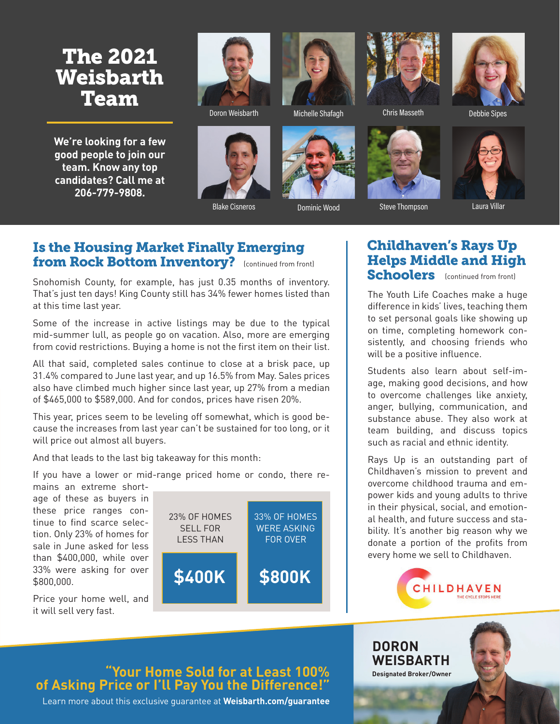## The 2021 Weisbarth Team

**We're looking for a few good people to join our team. Know any top candidates? Call me at 206-779-9808.**



Doron Weisbarth Michelle Shafagh







Chris Masseth Debbie Sipes



Blake Cisneros **Dominic Wood** Steve Thompson Caura Villar

### Is the Housing Market Finally Emerging from Rock Bottom Inventory? (continued from front)

Snohomish County, for example, has just 0.35 months of inventory. That's just ten days! King County still has 34% fewer homes listed than at this time last year.

Some of the increase in active listings may be due to the typical mid-summer lull, as people go on vacation. Also, more are emerging from covid restrictions. Buying a home is not the first item on their list.

All that said, completed sales continue to close at a brisk pace, up 31.4% compared to June last year, and up 16.5% from May. Sales prices also have climbed much higher since last year, up 27% from a median of \$465,000 to \$589,000. And for condos, prices have risen 20%.

This year, prices seem to be leveling off somewhat, which is good because the increases from last year can't be sustained for too long, or it will price out almost all buyers.

And that leads to the last big takeaway for this month:

If you have a lower or mid-range priced home or condo, there re-

mains an extreme shortage of these as buyers in these price ranges continue to find scarce selection. Only 23% of homes for sale in June asked for less than \$400,000, while over 33% were asking for over \$800,000.

Price your home well, and it will sell very fast.



### Childhaven's Rays Up Helps Middle and High

Schoolers (continued from front)

The Youth Life Coaches make a huge difference in kids' lives, teaching them to set personal goals like showing up on time, completing homework consistently, and choosing friends who will be a positive influence.

Students also learn about self-image, making good decisions, and how to overcome challenges like anxiety, anger, bullying, communication, and substance abuse. They also work at team building, and discuss topics such as racial and ethnic identity.

Rays Up is an outstanding part of Childhaven's mission to prevent and overcome childhood trauma and empower kids and young adults to thrive in their physical, social, and emotional health, and future success and stability. It's another big reason why we donate a portion of the profits from every home we sell to Childhaven.



**DORON** 

**WEISBARTH Designated Broker/Owner**

### **"Your Home Sold for at Least 100% of Asking Price or I'll Pay You the Difference!"**

Learn more about this exclusive guarantee at **Weisbarth.com/guarantee**